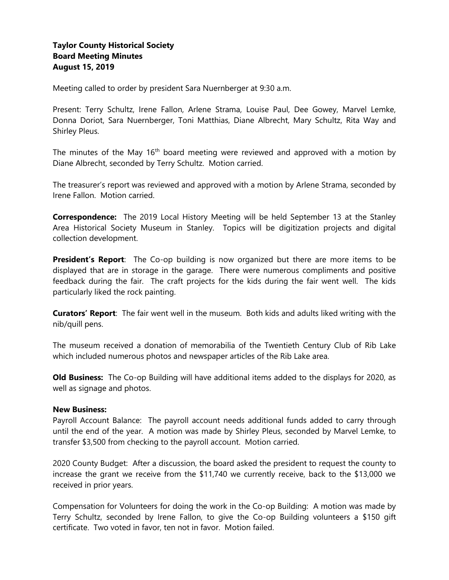# **Taylor County Historical Society Board Meeting Minutes August 15, 2019**

Meeting called to order by president Sara Nuernberger at 9:30 a.m.

Present: Terry Schultz, Irene Fallon, Arlene Strama, Louise Paul, Dee Gowey, Marvel Lemke, Donna Doriot, Sara Nuernberger, Toni Matthias, Diane Albrecht, Mary Schultz, Rita Way and Shirley Pleus.

The minutes of the May  $16<sup>th</sup>$  board meeting were reviewed and approved with a motion by Diane Albrecht, seconded by Terry Schultz. Motion carried.

The treasurer's report was reviewed and approved with a motion by Arlene Strama, seconded by Irene Fallon. Motion carried.

**Correspondence:** The 2019 Local History Meeting will be held September 13 at the Stanley Area Historical Society Museum in Stanley. Topics will be digitization projects and digital collection development.

**President's Report**: The Co-op building is now organized but there are more items to be displayed that are in storage in the garage. There were numerous compliments and positive feedback during the fair. The craft projects for the kids during the fair went well. The kids particularly liked the rock painting.

**Curators' Report**: The fair went well in the museum. Both kids and adults liked writing with the nib/quill pens.

The museum received a donation of memorabilia of the Twentieth Century Club of Rib Lake which included numerous photos and newspaper articles of the Rib Lake area.

**Old Business:** The Co-op Building will have additional items added to the displays for 2020, as well as signage and photos.

#### **New Business:**

Payroll Account Balance: The payroll account needs additional funds added to carry through until the end of the year. A motion was made by Shirley Pleus, seconded by Marvel Lemke, to transfer \$3,500 from checking to the payroll account. Motion carried.

2020 County Budget: After a discussion, the board asked the president to request the county to increase the grant we receive from the \$11,740 we currently receive, back to the \$13,000 we received in prior years.

Compensation for Volunteers for doing the work in the Co-op Building: A motion was made by Terry Schultz, seconded by Irene Fallon, to give the Co-op Building volunteers a \$150 gift certificate. Two voted in favor, ten not in favor. Motion failed.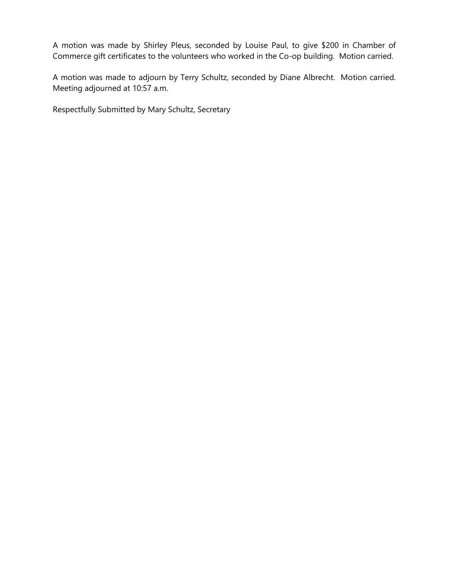A motion was made by Shirley Pleus, seconded by Louise Paul, to give \$200 in Chamber of Commerce gift certificates to the volunteers who worked in the Co-op building. Motion carried.

A motion was made to adjourn by Terry Schultz, seconded by Diane Albrecht. Motion carried. Meeting adjourned at 10:57 a.m.

Respectfully Submitted by Mary Schultz, Secretary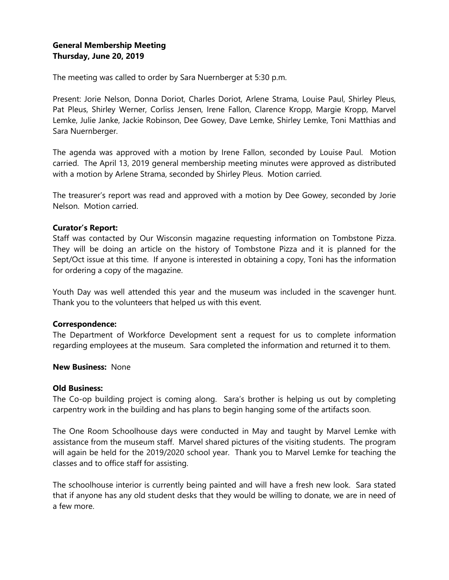# **General Membership Meeting Thursday, June 20, 2019**

The meeting was called to order by Sara Nuernberger at 5:30 p.m.

Present: Jorie Nelson, Donna Doriot, Charles Doriot, Arlene Strama, Louise Paul, Shirley Pleus, Pat Pleus, Shirley Werner, Corliss Jensen, Irene Fallon, Clarence Kropp, Margie Kropp, Marvel Lemke, Julie Janke, Jackie Robinson, Dee Gowey, Dave Lemke, Shirley Lemke, Toni Matthias and Sara Nuernberger.

The agenda was approved with a motion by Irene Fallon, seconded by Louise Paul. Motion carried. The April 13, 2019 general membership meeting minutes were approved as distributed with a motion by Arlene Strama, seconded by Shirley Pleus. Motion carried.

The treasurer's report was read and approved with a motion by Dee Gowey, seconded by Jorie Nelson. Motion carried.

## **Curator's Report:**

Staff was contacted by Our Wisconsin magazine requesting information on Tombstone Pizza. They will be doing an article on the history of Tombstone Pizza and it is planned for the Sept/Oct issue at this time. If anyone is interested in obtaining a copy, Toni has the information for ordering a copy of the magazine.

Youth Day was well attended this year and the museum was included in the scavenger hunt. Thank you to the volunteers that helped us with this event.

#### **Correspondence:**

The Department of Workforce Development sent a request for us to complete information regarding employees at the museum. Sara completed the information and returned it to them.

## **New Business:** None

### **Old Business:**

The Co-op building project is coming along. Sara's brother is helping us out by completing carpentry work in the building and has plans to begin hanging some of the artifacts soon.

The One Room Schoolhouse days were conducted in May and taught by Marvel Lemke with assistance from the museum staff. Marvel shared pictures of the visiting students. The program will again be held for the 2019/2020 school year. Thank you to Marvel Lemke for teaching the classes and to office staff for assisting.

The schoolhouse interior is currently being painted and will have a fresh new look. Sara stated that if anyone has any old student desks that they would be willing to donate, we are in need of a few more.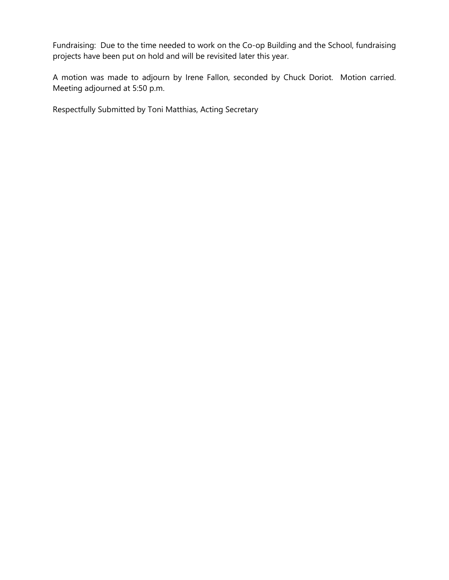Fundraising: Due to the time needed to work on the Co-op Building and the School, fundraising projects have been put on hold and will be revisited later this year.

A motion was made to adjourn by Irene Fallon, seconded by Chuck Doriot. Motion carried. Meeting adjourned at 5:50 p.m.

Respectfully Submitted by Toni Matthias, Acting Secretary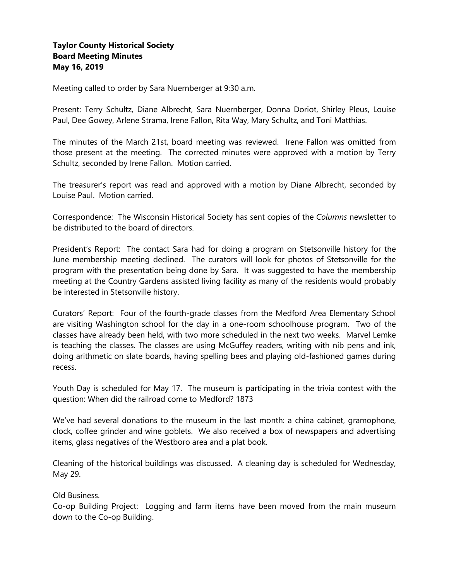# **Taylor County Historical Society Board Meeting Minutes May 16, 2019**

Meeting called to order by Sara Nuernberger at 9:30 a.m.

Present: Terry Schultz, Diane Albrecht, Sara Nuernberger, Donna Doriot, Shirley Pleus, Louise Paul, Dee Gowey, Arlene Strama, Irene Fallon, Rita Way, Mary Schultz, and Toni Matthias.

The minutes of the March 21st, board meeting was reviewed. Irene Fallon was omitted from those present at the meeting. The corrected minutes were approved with a motion by Terry Schultz, seconded by Irene Fallon. Motion carried.

The treasurer's report was read and approved with a motion by Diane Albrecht, seconded by Louise Paul. Motion carried.

Correspondence: The Wisconsin Historical Society has sent copies of the *Columns* newsletter to be distributed to the board of directors.

President's Report: The contact Sara had for doing a program on Stetsonville history for the June membership meeting declined. The curators will look for photos of Stetsonville for the program with the presentation being done by Sara. It was suggested to have the membership meeting at the Country Gardens assisted living facility as many of the residents would probably be interested in Stetsonville history.

Curators' Report: Four of the fourth-grade classes from the Medford Area Elementary School are visiting Washington school for the day in a one-room schoolhouse program. Two of the classes have already been held, with two more scheduled in the next two weeks. Marvel Lemke is teaching the classes. The classes are using McGuffey readers, writing with nib pens and ink, doing arithmetic on slate boards, having spelling bees and playing old-fashioned games during recess.

Youth Day is scheduled for May 17. The museum is participating in the trivia contest with the question: When did the railroad come to Medford? 1873

We've had several donations to the museum in the last month: a china cabinet, gramophone, clock, coffee grinder and wine goblets. We also received a box of newspapers and advertising items, glass negatives of the Westboro area and a plat book.

Cleaning of the historical buildings was discussed. A cleaning day is scheduled for Wednesday, May 29.

Old Business.

Co-op Building Project: Logging and farm items have been moved from the main museum down to the Co-op Building.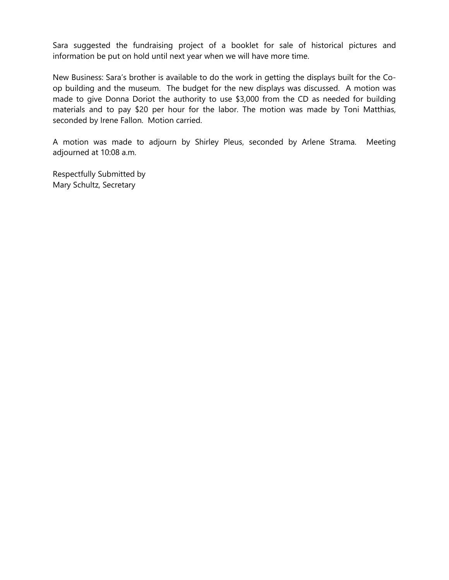Sara suggested the fundraising project of a booklet for sale of historical pictures and information be put on hold until next year when we will have more time.

New Business: Sara's brother is available to do the work in getting the displays built for the Coop building and the museum. The budget for the new displays was discussed. A motion was made to give Donna Doriot the authority to use \$3,000 from the CD as needed for building materials and to pay \$20 per hour for the labor. The motion was made by Toni Matthias, seconded by Irene Fallon. Motion carried.

A motion was made to adjourn by Shirley Pleus, seconded by Arlene Strama. Meeting adjourned at 10:08 a.m.

Respectfully Submitted by Mary Schultz, Secretary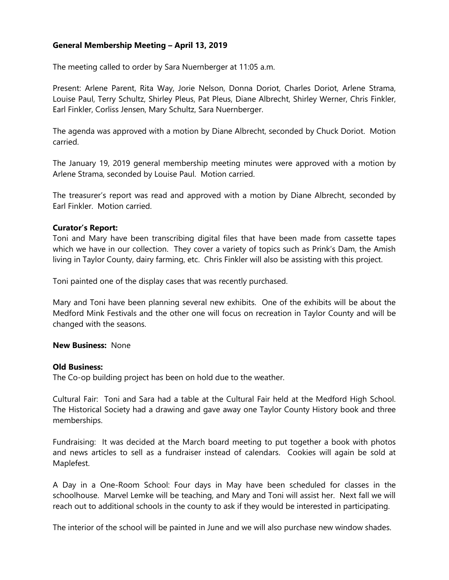# **General Membership Meeting – April 13, 2019**

The meeting called to order by Sara Nuernberger at 11:05 a.m.

Present: Arlene Parent, Rita Way, Jorie Nelson, Donna Doriot, Charles Doriot, Arlene Strama, Louise Paul, Terry Schultz, Shirley Pleus, Pat Pleus, Diane Albrecht, Shirley Werner, Chris Finkler, Earl Finkler, Corliss Jensen, Mary Schultz, Sara Nuernberger.

The agenda was approved with a motion by Diane Albrecht, seconded by Chuck Doriot. Motion carried.

The January 19, 2019 general membership meeting minutes were approved with a motion by Arlene Strama, seconded by Louise Paul. Motion carried.

The treasurer's report was read and approved with a motion by Diane Albrecht, seconded by Earl Finkler. Motion carried.

## **Curator's Report:**

Toni and Mary have been transcribing digital files that have been made from cassette tapes which we have in our collection. They cover a variety of topics such as Prink's Dam, the Amish living in Taylor County, dairy farming, etc. Chris Finkler will also be assisting with this project.

Toni painted one of the display cases that was recently purchased.

Mary and Toni have been planning several new exhibits. One of the exhibits will be about the Medford Mink Festivals and the other one will focus on recreation in Taylor County and will be changed with the seasons.

#### **New Business:** None

#### **Old Business:**

The Co-op building project has been on hold due to the weather.

Cultural Fair: Toni and Sara had a table at the Cultural Fair held at the Medford High School. The Historical Society had a drawing and gave away one Taylor County History book and three memberships.

Fundraising: It was decided at the March board meeting to put together a book with photos and news articles to sell as a fundraiser instead of calendars. Cookies will again be sold at Maplefest.

A Day in a One-Room School: Four days in May have been scheduled for classes in the schoolhouse. Marvel Lemke will be teaching, and Mary and Toni will assist her. Next fall we will reach out to additional schools in the county to ask if they would be interested in participating.

The interior of the school will be painted in June and we will also purchase new window shades.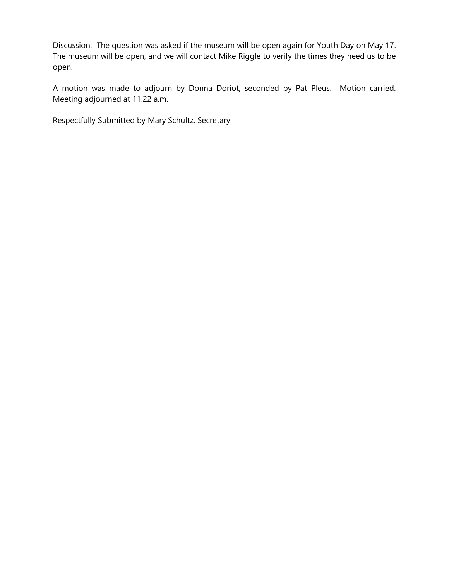Discussion: The question was asked if the museum will be open again for Youth Day on May 17. The museum will be open, and we will contact Mike Riggle to verify the times they need us to be open.

A motion was made to adjourn by Donna Doriot, seconded by Pat Pleus. Motion carried. Meeting adjourned at 11:22 a.m.

Respectfully Submitted by Mary Schultz, Secretary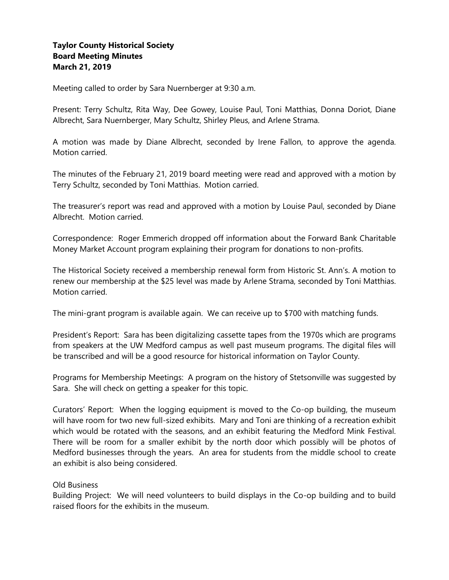# **Taylor County Historical Society Board Meeting Minutes March 21, 2019**

Meeting called to order by Sara Nuernberger at 9:30 a.m.

Present: Terry Schultz, Rita Way, Dee Gowey, Louise Paul, Toni Matthias, Donna Doriot, Diane Albrecht, Sara Nuernberger, Mary Schultz, Shirley Pleus, and Arlene Strama.

A motion was made by Diane Albrecht, seconded by Irene Fallon, to approve the agenda. Motion carried.

The minutes of the February 21, 2019 board meeting were read and approved with a motion by Terry Schultz, seconded by Toni Matthias. Motion carried.

The treasurer's report was read and approved with a motion by Louise Paul, seconded by Diane Albrecht. Motion carried.

Correspondence: Roger Emmerich dropped off information about the Forward Bank Charitable Money Market Account program explaining their program for donations to non-profits.

The Historical Society received a membership renewal form from Historic St. Ann's. A motion to renew our membership at the \$25 level was made by Arlene Strama, seconded by Toni Matthias. Motion carried.

The mini-grant program is available again. We can receive up to \$700 with matching funds.

President's Report: Sara has been digitalizing cassette tapes from the 1970s which are programs from speakers at the UW Medford campus as well past museum programs. The digital files will be transcribed and will be a good resource for historical information on Taylor County.

Programs for Membership Meetings: A program on the history of Stetsonville was suggested by Sara. She will check on getting a speaker for this topic.

Curators' Report: When the logging equipment is moved to the Co-op building, the museum will have room for two new full-sized exhibits. Mary and Toni are thinking of a recreation exhibit which would be rotated with the seasons, and an exhibit featuring the Medford Mink Festival. There will be room for a smaller exhibit by the north door which possibly will be photos of Medford businesses through the years. An area for students from the middle school to create an exhibit is also being considered.

## Old Business

Building Project: We will need volunteers to build displays in the Co-op building and to build raised floors for the exhibits in the museum.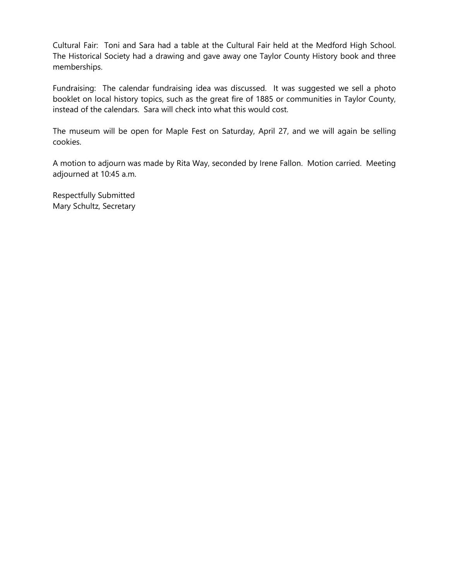Cultural Fair: Toni and Sara had a table at the Cultural Fair held at the Medford High School. The Historical Society had a drawing and gave away one Taylor County History book and three memberships.

Fundraising: The calendar fundraising idea was discussed. It was suggested we sell a photo booklet on local history topics, such as the great fire of 1885 or communities in Taylor County, instead of the calendars. Sara will check into what this would cost.

The museum will be open for Maple Fest on Saturday, April 27, and we will again be selling cookies.

A motion to adjourn was made by Rita Way, seconded by Irene Fallon. Motion carried. Meeting adjourned at 10:45 a.m.

Respectfully Submitted Mary Schultz, Secretary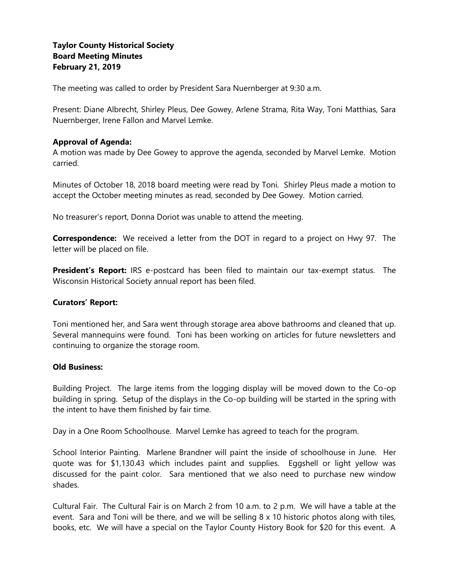# **Taylor County Historical Society Board Meeting Minutes February 21, 2019**

The meeting was called to order by President Sara Nuernberger at 9:30 a.m.

Present: Diane Albrecht, Shirley Pleus, Dee Gowey, Arlene Strama, Rita Way, Toni Matthias, Sara Nuernberger, Irene Fallon and Marvel Lemke.

# **Approval of Agenda:**

A motion was made by Dee Gowey to approve the agenda, seconded by Marvel Lemke. Motion carried.

Minutes of October 18, 2018 board meeting were read by Toni. Shirley Pleus made a motion to accept the October meeting minutes as read, seconded by Dee Gowey. Motion carried.

No treasurer's report, Donna Doriot was unable to attend the meeting.

**Correspondence:** We received a letter from the DOT in regard to a project on Hwy 97. The letter will be placed on file.

**President's Report:** IRS e-postcard has been filed to maintain our tax-exempt status. The Wisconsin Historical Society annual report has been filed.

## **Curators' Report:**

Toni mentioned her, and Sara went through storage area above bathrooms and cleaned that up. Several mannequins were found. Toni has been working on articles for future newsletters and continuing to organize the storage room.

## **Old Business:**

Building Project. The large items from the logging display will be moved down to the Co-op building in spring. Setup of the displays in the Co-op building will be started in the spring with the intent to have them finished by fair time.

Day in a One Room Schoolhouse. Marvel Lemke has agreed to teach for the program.

School Interior Painting. Marlene Brandner will paint the inside of schoolhouse in June. Her quote was for \$1,130.43 which includes paint and supplies. Eggshell or light yellow was discussed for the paint color. Sara mentioned that we also need to purchase new window shades.

Cultural Fair. The Cultural Fair is on March 2 from 10 a.m. to 2 p.m. We will have a table at the event. Sara and Toni will be there, and we will be selling 8 x 10 historic photos along with tiles, books, etc. We will have a special on the Taylor County History Book for \$20 for this event. A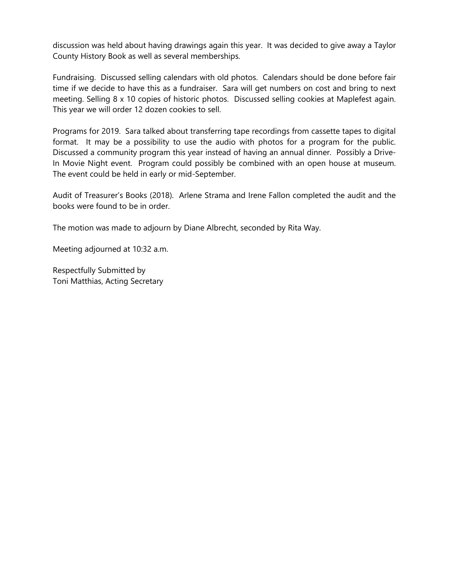discussion was held about having drawings again this year. It was decided to give away a Taylor County History Book as well as several memberships.

Fundraising. Discussed selling calendars with old photos. Calendars should be done before fair time if we decide to have this as a fundraiser. Sara will get numbers on cost and bring to next meeting. Selling 8 x 10 copies of historic photos. Discussed selling cookies at Maplefest again. This year we will order 12 dozen cookies to sell.

Programs for 2019. Sara talked about transferring tape recordings from cassette tapes to digital format. It may be a possibility to use the audio with photos for a program for the public. Discussed a community program this year instead of having an annual dinner. Possibly a Drive-In Movie Night event. Program could possibly be combined with an open house at museum. The event could be held in early or mid-September.

Audit of Treasurer's Books (2018). Arlene Strama and Irene Fallon completed the audit and the books were found to be in order.

The motion was made to adjourn by Diane Albrecht, seconded by Rita Way.

Meeting adjourned at 10:32 a.m.

Respectfully Submitted by Toni Matthias, Acting Secretary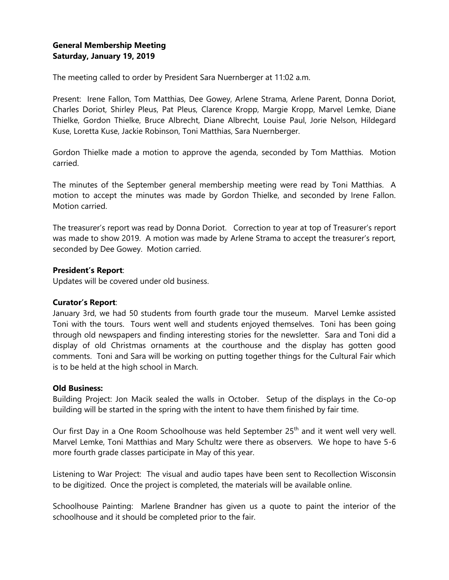# **General Membership Meeting Saturday, January 19, 2019**

The meeting called to order by President Sara Nuernberger at 11:02 a.m.

Present: Irene Fallon, Tom Matthias, Dee Gowey, Arlene Strama, Arlene Parent, Donna Doriot, Charles Doriot, Shirley Pleus, Pat Pleus, Clarence Kropp, Margie Kropp, Marvel Lemke, Diane Thielke, Gordon Thielke, Bruce Albrecht, Diane Albrecht, Louise Paul, Jorie Nelson, Hildegard Kuse, Loretta Kuse, Jackie Robinson, Toni Matthias, Sara Nuernberger.

Gordon Thielke made a motion to approve the agenda, seconded by Tom Matthias. Motion carried.

The minutes of the September general membership meeting were read by Toni Matthias. A motion to accept the minutes was made by Gordon Thielke, and seconded by Irene Fallon. Motion carried.

The treasurer's report was read by Donna Doriot. Correction to year at top of Treasurer's report was made to show 2019. A motion was made by Arlene Strama to accept the treasurer's report, seconded by Dee Gowey. Motion carried.

## **President's Report**:

Updates will be covered under old business.

#### **Curator's Report**:

January 3rd, we had 50 students from fourth grade tour the museum. Marvel Lemke assisted Toni with the tours. Tours went well and students enjoyed themselves. Toni has been going through old newspapers and finding interesting stories for the newsletter. Sara and Toni did a display of old Christmas ornaments at the courthouse and the display has gotten good comments. Toni and Sara will be working on putting together things for the Cultural Fair which is to be held at the high school in March.

### **Old Business:**

Building Project: Jon Macik sealed the walls in October. Setup of the displays in the Co-op building will be started in the spring with the intent to have them finished by fair time.

Our first Day in a One Room Schoolhouse was held September 25<sup>th</sup> and it went well very well. Marvel Lemke, Toni Matthias and Mary Schultz were there as observers. We hope to have 5-6 more fourth grade classes participate in May of this year.

Listening to War Project: The visual and audio tapes have been sent to Recollection Wisconsin to be digitized. Once the project is completed, the materials will be available online.

Schoolhouse Painting: Marlene Brandner has given us a quote to paint the interior of the schoolhouse and it should be completed prior to the fair.